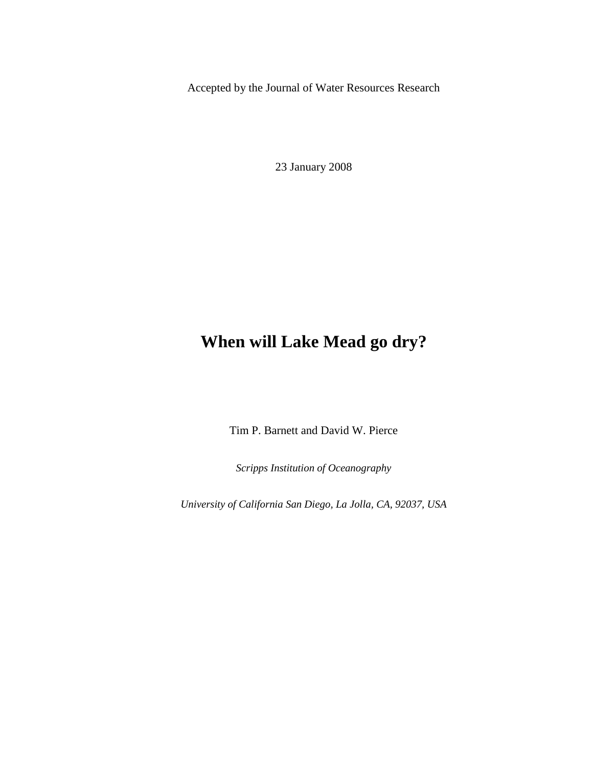Accepted by the Journal of Water Resources Research

23 January 2008

# **When will Lake Mead go dry?**

Tim P. Barnett and David W. Pierce

*Scripps Institution of Oceanography* 

*University of California San Diego, La Jolla, CA, 92037, USA*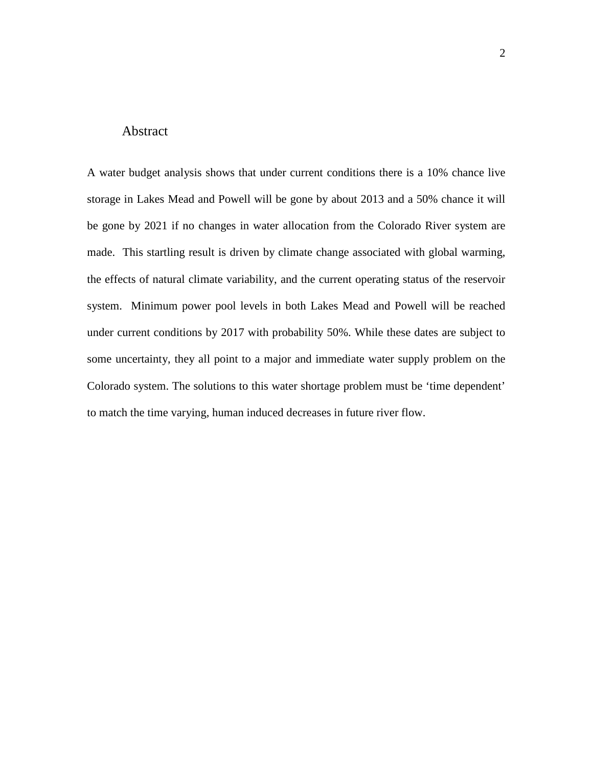## Abstract

A water budget analysis shows that under current conditions there is a 10% chance live storage in Lakes Mead and Powell will be gone by about 2013 and a 50% chance it will be gone by 2021 if no changes in water allocation from the Colorado River system are made. This startling result is driven by climate change associated with global warming, the effects of natural climate variability, and the current operating status of the reservoir system. Minimum power pool levels in both Lakes Mead and Powell will be reached under current conditions by 2017 with probability 50%. While these dates are subject to some uncertainty, they all point to a major and immediate water supply problem on the Colorado system. The solutions to this water shortage problem must be 'time dependent' to match the time varying, human induced decreases in future river flow.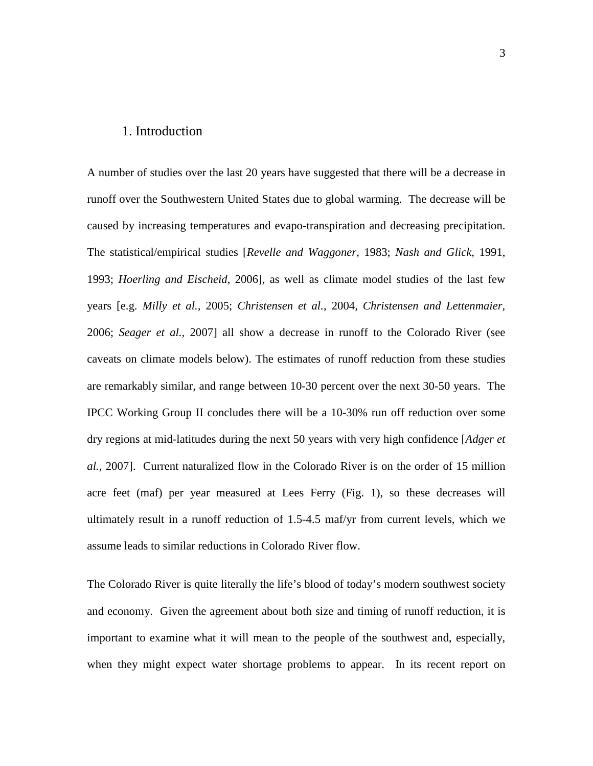#### 1. Introduction

A number of studies over the last 20 years have suggested that there will be a decrease in runoff over the Southwestern United States due to global warming. The decrease will be caused by increasing temperatures and evapo-transpiration and decreasing precipitation. The statistical/empirical studies [*Revelle and Waggoner*, 1983; *Nash and Glick*, 1991, 1993; *Hoerling and Eischeid*, 2006], as well as climate model studies of the last few years [e.g. *Milly et al.,* 2005; *Christensen et al.,* 2004, *Christensen and Lettenmaier*, 2006; *Seager et al.,* 2007] all show a decrease in runoff to the Colorado River (see caveats on climate models below). The estimates of runoff reduction from these studies are remarkably similar, and range between 10-30 percent over the next 30-50 years. The IPCC Working Group II concludes there will be a 10-30% run off reduction over some dry regions at mid-latitudes during the next 50 years with very high confidence [*Adger et al.,* 2007]. Current naturalized flow in the Colorado River is on the order of 15 million acre feet (maf) per year measured at Lees Ferry (Fig. 1), so these decreases will ultimately result in a runoff reduction of 1.5-4.5 maf/yr from current levels, which we assume leads to similar reductions in Colorado River flow.

The Colorado River is quite literally the life's blood of today's modern southwest society and economy. Given the agreement about both size and timing of runoff reduction, it is important to examine what it will mean to the people of the southwest and, especially, when they might expect water shortage problems to appear. In its recent report on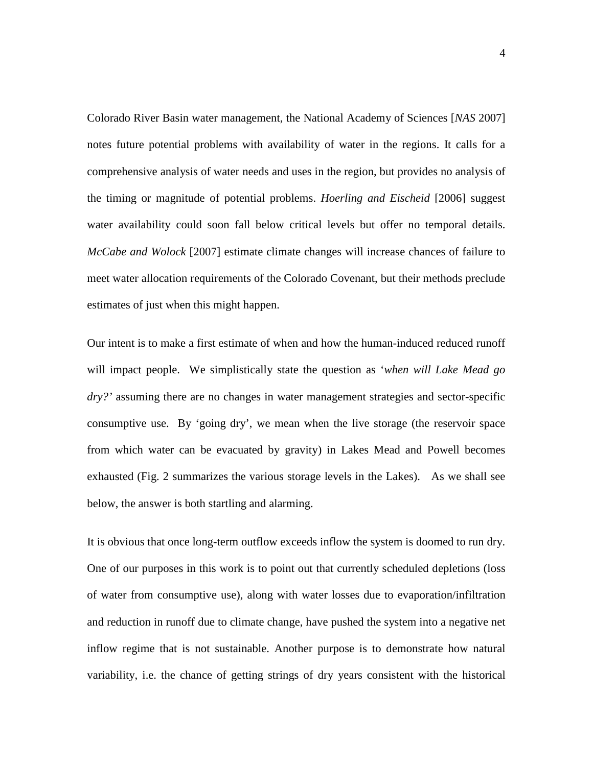Colorado River Basin water management, the National Academy of Sciences [*NAS* 2007] notes future potential problems with availability of water in the regions. It calls for a comprehensive analysis of water needs and uses in the region, but provides no analysis of the timing or magnitude of potential problems. *Hoerling and Eischeid* [2006] suggest water availability could soon fall below critical levels but offer no temporal details. *McCabe and Wolock* [2007] estimate climate changes will increase chances of failure to meet water allocation requirements of the Colorado Covenant, but their methods preclude estimates of just when this might happen.

Our intent is to make a first estimate of when and how the human-induced reduced runoff will impact people. We simplistically state the question as '*when will Lake Mead go dry?'* assuming there are no changes in water management strategies and sector-specific consumptive use. By 'going dry', we mean when the live storage (the reservoir space from which water can be evacuated by gravity) in Lakes Mead and Powell becomes exhausted (Fig. 2 summarizes the various storage levels in the Lakes). As we shall see below, the answer is both startling and alarming.

It is obvious that once long-term outflow exceeds inflow the system is doomed to run dry. One of our purposes in this work is to point out that currently scheduled depletions (loss of water from consumptive use), along with water losses due to evaporation/infiltration and reduction in runoff due to climate change, have pushed the system into a negative net inflow regime that is not sustainable. Another purpose is to demonstrate how natural variability, i.e. the chance of getting strings of dry years consistent with the historical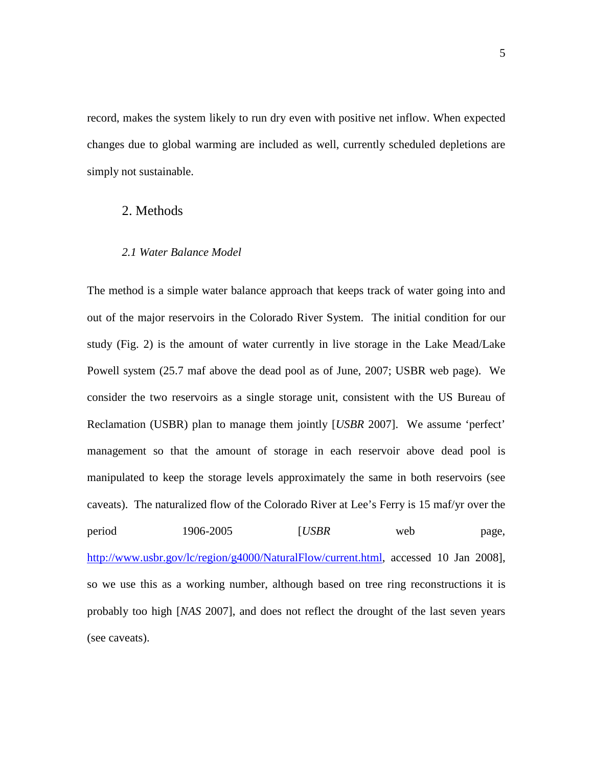record, makes the system likely to run dry even with positive net inflow. When expected changes due to global warming are included as well, currently scheduled depletions are simply not sustainable.

## 2. Methods

#### *2.1 Water Balance Model*

The method is a simple water balance approach that keeps track of water going into and out of the major reservoirs in the Colorado River System. The initial condition for our study (Fig. 2) is the amount of water currently in live storage in the Lake Mead/Lake Powell system (25.7 maf above the dead pool as of June, 2007; USBR web page). We consider the two reservoirs as a single storage unit, consistent with the US Bureau of Reclamation (USBR) plan to manage them jointly [*USBR* 2007]. We assume 'perfect' management so that the amount of storage in each reservoir above dead pool is manipulated to keep the storage levels approximately the same in both reservoirs (see caveats). The naturalized flow of the Colorado River at Lee's Ferry is 15 maf/yr over the period 1906-2005 [*USBR* web page, http://www.usbr.gov/lc/region/g4000/NaturalFlow/current.html, accessed 10 Jan 2008], so we use this as a working number, although based on tree ring reconstructions it is probably too high [*NAS* 2007], and does not reflect the drought of the last seven years (see caveats).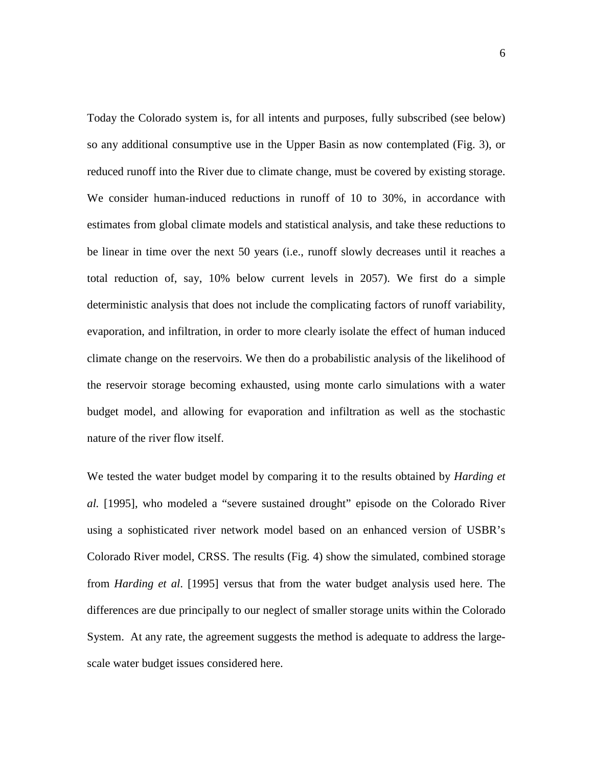Today the Colorado system is, for all intents and purposes, fully subscribed (see below) so any additional consumptive use in the Upper Basin as now contemplated (Fig. 3), or reduced runoff into the River due to climate change, must be covered by existing storage. We consider human-induced reductions in runoff of 10 to 30%, in accordance with estimates from global climate models and statistical analysis, and take these reductions to be linear in time over the next 50 years (i.e., runoff slowly decreases until it reaches a total reduction of, say, 10% below current levels in 2057). We first do a simple deterministic analysis that does not include the complicating factors of runoff variability, evaporation, and infiltration, in order to more clearly isolate the effect of human induced climate change on the reservoirs. We then do a probabilistic analysis of the likelihood of the reservoir storage becoming exhausted, using monte carlo simulations with a water budget model, and allowing for evaporation and infiltration as well as the stochastic nature of the river flow itself.

We tested the water budget model by comparing it to the results obtained by *Harding et al.* [1995], who modeled a "severe sustained drought" episode on the Colorado River using a sophisticated river network model based on an enhanced version of USBR's Colorado River model, CRSS. The results (Fig. 4) show the simulated, combined storage from *Harding et al*. [1995] versus that from the water budget analysis used here. The differences are due principally to our neglect of smaller storage units within the Colorado System. At any rate, the agreement suggests the method is adequate to address the largescale water budget issues considered here.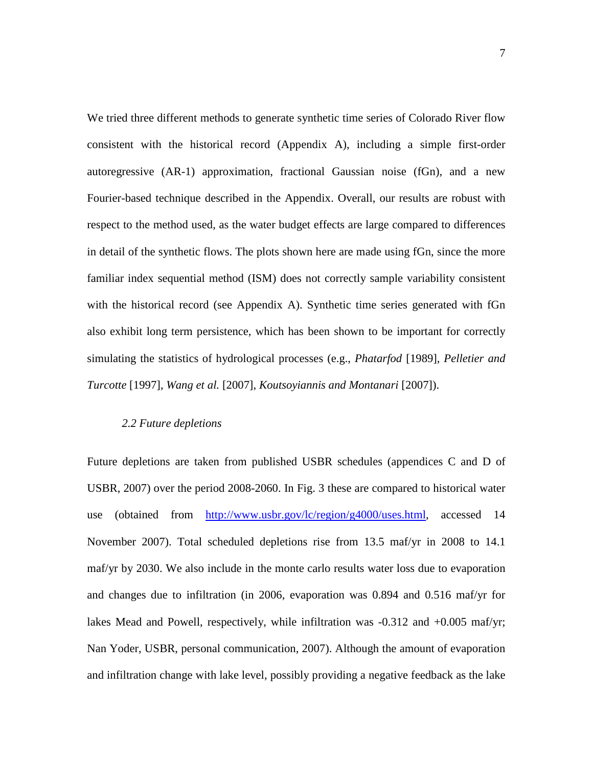We tried three different methods to generate synthetic time series of Colorado River flow consistent with the historical record (Appendix A), including a simple first-order autoregressive (AR-1) approximation, fractional Gaussian noise (fGn), and a new Fourier-based technique described in the Appendix. Overall, our results are robust with respect to the method used, as the water budget effects are large compared to differences in detail of the synthetic flows. The plots shown here are made using fGn, since the more familiar index sequential method (ISM) does not correctly sample variability consistent with the historical record (see Appendix A). Synthetic time series generated with fGn also exhibit long term persistence, which has been shown to be important for correctly simulating the statistics of hydrological processes (e.g., *Phatarfod* [1989], *Pelletier and Turcotte* [1997], *Wang et al.* [2007], *Koutsoyiannis and Montanari* [2007]).

## *2.2 Future depletions*

Future depletions are taken from published USBR schedules (appendices C and D of USBR, 2007) over the period 2008-2060. In Fig. 3 these are compared to historical water use (obtained from http://www.usbr.gov/lc/region/g4000/uses.html, accessed 14 November 2007). Total scheduled depletions rise from 13.5 maf/yr in 2008 to 14.1 maf/yr by 2030. We also include in the monte carlo results water loss due to evaporation and changes due to infiltration (in 2006, evaporation was 0.894 and 0.516 maf/yr for lakes Mead and Powell, respectively, while infiltration was -0.312 and +0.005 maf/yr; Nan Yoder, USBR, personal communication, 2007). Although the amount of evaporation and infiltration change with lake level, possibly providing a negative feedback as the lake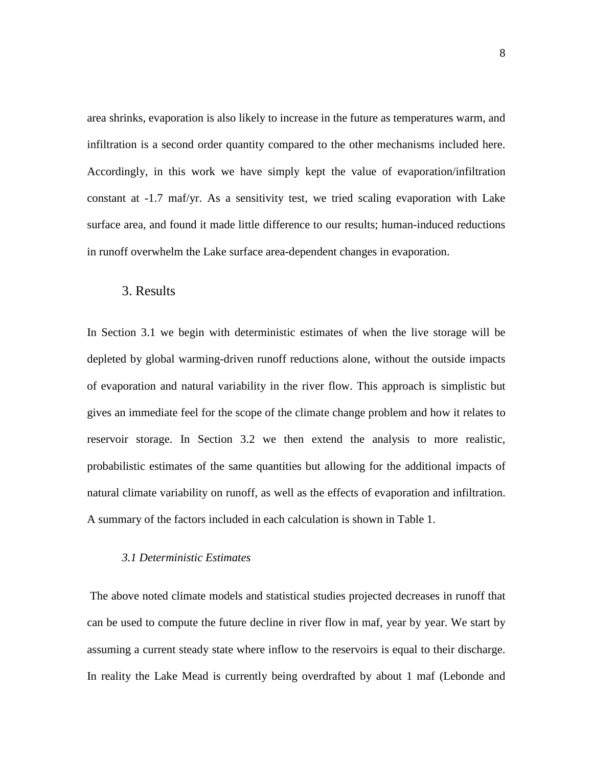area shrinks, evaporation is also likely to increase in the future as temperatures warm, and infiltration is a second order quantity compared to the other mechanisms included here. Accordingly, in this work we have simply kept the value of evaporation/infiltration constant at -1.7 maf/yr. As a sensitivity test, we tried scaling evaporation with Lake surface area, and found it made little difference to our results; human-induced reductions in runoff overwhelm the Lake surface area-dependent changes in evaporation.

## 3. Results

In Section 3.1 we begin with deterministic estimates of when the live storage will be depleted by global warming-driven runoff reductions alone, without the outside impacts of evaporation and natural variability in the river flow. This approach is simplistic but gives an immediate feel for the scope of the climate change problem and how it relates to reservoir storage. In Section 3.2 we then extend the analysis to more realistic, probabilistic estimates of the same quantities but allowing for the additional impacts of natural climate variability on runoff, as well as the effects of evaporation and infiltration. A summary of the factors included in each calculation is shown in Table 1.

#### *3.1 Deterministic Estimates*

 The above noted climate models and statistical studies projected decreases in runoff that can be used to compute the future decline in river flow in maf, year by year. We start by assuming a current steady state where inflow to the reservoirs is equal to their discharge. In reality the Lake Mead is currently being overdrafted by about 1 maf (Lebonde and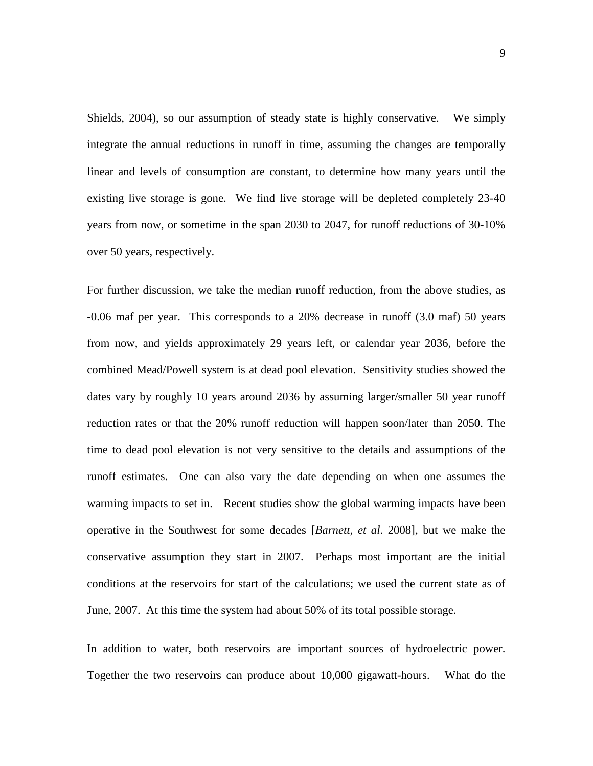Shields, 2004), so our assumption of steady state is highly conservative. We simply integrate the annual reductions in runoff in time, assuming the changes are temporally linear and levels of consumption are constant, to determine how many years until the existing live storage is gone. We find live storage will be depleted completely 23-40 years from now, or sometime in the span 2030 to 2047, for runoff reductions of 30-10% over 50 years, respectively.

For further discussion, we take the median runoff reduction, from the above studies, as -0.06 maf per year. This corresponds to a 20% decrease in runoff (3.0 maf) 50 years from now, and yields approximately 29 years left, or calendar year 2036, before the combined Mead/Powell system is at dead pool elevation. Sensitivity studies showed the dates vary by roughly 10 years around 2036 by assuming larger/smaller 50 year runoff reduction rates or that the 20% runoff reduction will happen soon/later than 2050. The time to dead pool elevation is not very sensitive to the details and assumptions of the runoff estimates. One can also vary the date depending on when one assumes the warming impacts to set in. Recent studies show the global warming impacts have been operative in the Southwest for some decades [*Barnett, et al*. 2008], but we make the conservative assumption they start in 2007. Perhaps most important are the initial conditions at the reservoirs for start of the calculations; we used the current state as of June, 2007. At this time the system had about 50% of its total possible storage.

In addition to water, both reservoirs are important sources of hydroelectric power. Together the two reservoirs can produce about 10,000 gigawatt-hours. What do the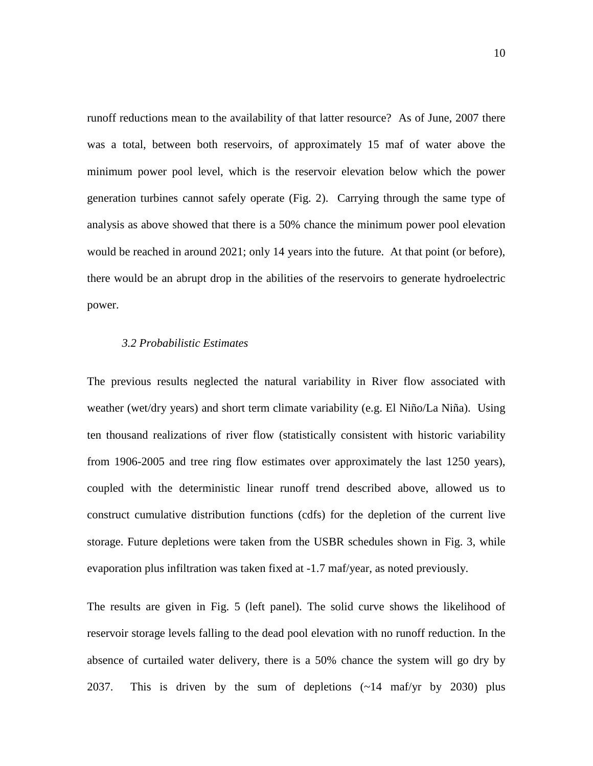runoff reductions mean to the availability of that latter resource? As of June, 2007 there was a total, between both reservoirs, of approximately 15 maf of water above the minimum power pool level, which is the reservoir elevation below which the power generation turbines cannot safely operate (Fig. 2). Carrying through the same type of analysis as above showed that there is a 50% chance the minimum power pool elevation would be reached in around 2021; only 14 years into the future. At that point (or before), there would be an abrupt drop in the abilities of the reservoirs to generate hydroelectric power.

#### *3.2 Probabilistic Estimates*

The previous results neglected the natural variability in River flow associated with weather (wet/dry years) and short term climate variability (e.g. El Niño/La Niña). Using ten thousand realizations of river flow (statistically consistent with historic variability from 1906-2005 and tree ring flow estimates over approximately the last 1250 years), coupled with the deterministic linear runoff trend described above, allowed us to construct cumulative distribution functions (cdfs) for the depletion of the current live storage. Future depletions were taken from the USBR schedules shown in Fig. 3, while evaporation plus infiltration was taken fixed at -1.7 maf/year, as noted previously.

The results are given in Fig. 5 (left panel). The solid curve shows the likelihood of reservoir storage levels falling to the dead pool elevation with no runoff reduction. In the absence of curtailed water delivery, there is a 50% chance the system will go dry by 2037. This is driven by the sum of depletions (~14 maf/yr by 2030) plus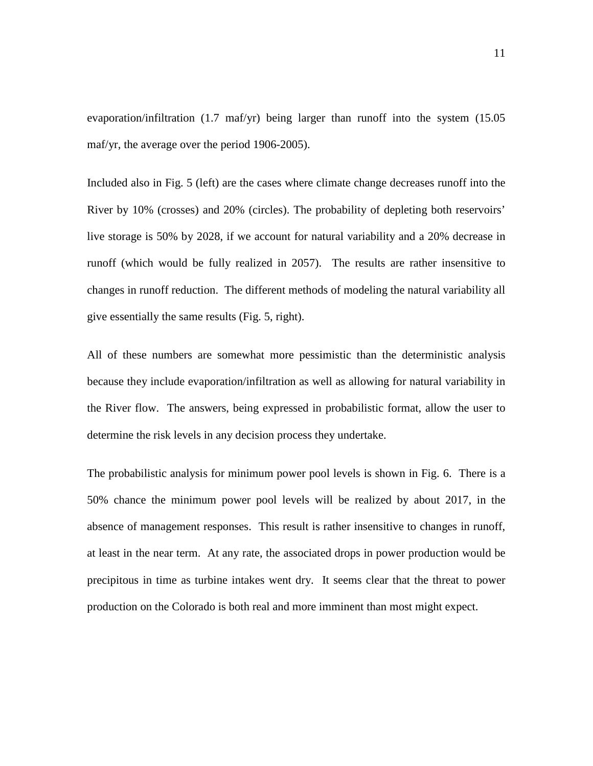evaporation/infiltration (1.7 maf/yr) being larger than runoff into the system (15.05 maf/yr, the average over the period 1906-2005).

Included also in Fig. 5 (left) are the cases where climate change decreases runoff into the River by 10% (crosses) and 20% (circles). The probability of depleting both reservoirs' live storage is 50% by 2028, if we account for natural variability and a 20% decrease in runoff (which would be fully realized in 2057). The results are rather insensitive to changes in runoff reduction. The different methods of modeling the natural variability all give essentially the same results (Fig. 5, right).

All of these numbers are somewhat more pessimistic than the deterministic analysis because they include evaporation/infiltration as well as allowing for natural variability in the River flow. The answers, being expressed in probabilistic format, allow the user to determine the risk levels in any decision process they undertake.

The probabilistic analysis for minimum power pool levels is shown in Fig. 6. There is a 50% chance the minimum power pool levels will be realized by about 2017, in the absence of management responses. This result is rather insensitive to changes in runoff, at least in the near term. At any rate, the associated drops in power production would be precipitous in time as turbine intakes went dry. It seems clear that the threat to power production on the Colorado is both real and more imminent than most might expect.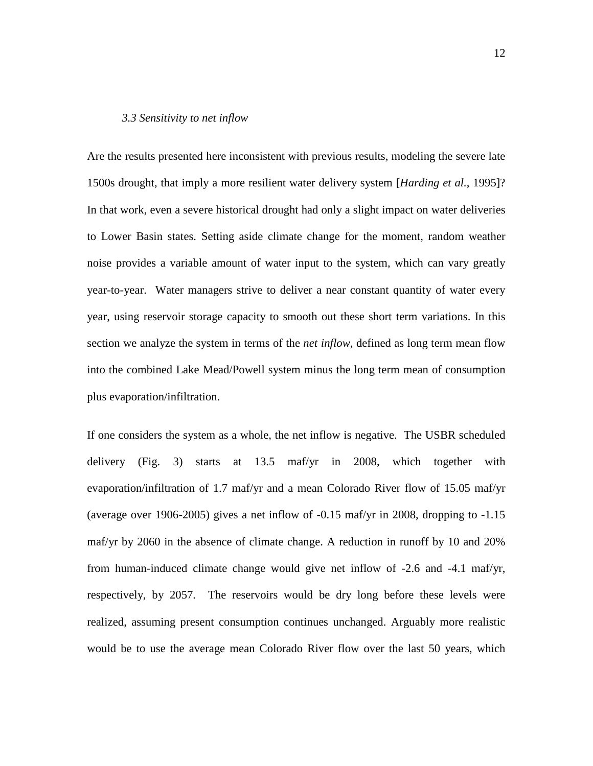#### *3.3 Sensitivity to net inflow*

Are the results presented here inconsistent with previous results, modeling the severe late 1500s drought, that imply a more resilient water delivery system [*Harding et al.,* 1995]? In that work, even a severe historical drought had only a slight impact on water deliveries to Lower Basin states. Setting aside climate change for the moment, random weather noise provides a variable amount of water input to the system, which can vary greatly year-to-year. Water managers strive to deliver a near constant quantity of water every year, using reservoir storage capacity to smooth out these short term variations. In this section we analyze the system in terms of the *net inflow*, defined as long term mean flow into the combined Lake Mead/Powell system minus the long term mean of consumption plus evaporation/infiltration.

If one considers the system as a whole, the net inflow is negative. The USBR scheduled delivery (Fig. 3) starts at 13.5 maf/yr in 2008, which together with evaporation/infiltration of 1.7 maf/yr and a mean Colorado River flow of 15.05 maf/yr (average over 1906-2005) gives a net inflow of -0.15 maf/yr in 2008, dropping to -1.15 maf/yr by 2060 in the absence of climate change. A reduction in runoff by 10 and 20% from human-induced climate change would give net inflow of -2.6 and -4.1 maf/yr, respectively, by 2057. The reservoirs would be dry long before these levels were realized, assuming present consumption continues unchanged. Arguably more realistic would be to use the average mean Colorado River flow over the last 50 years, which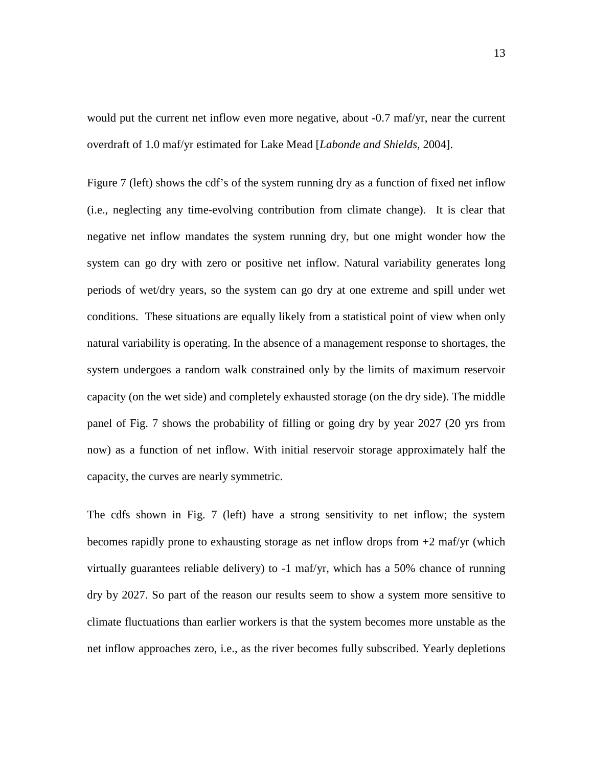would put the current net inflow even more negative, about -0.7 maf/yr, near the current overdraft of 1.0 maf/yr estimated for Lake Mead [*Labonde and Shields*, 2004].

Figure 7 (left) shows the cdf's of the system running dry as a function of fixed net inflow (i.e., neglecting any time-evolving contribution from climate change). It is clear that negative net inflow mandates the system running dry, but one might wonder how the system can go dry with zero or positive net inflow. Natural variability generates long periods of wet/dry years, so the system can go dry at one extreme and spill under wet conditions. These situations are equally likely from a statistical point of view when only natural variability is operating. In the absence of a management response to shortages, the system undergoes a random walk constrained only by the limits of maximum reservoir capacity (on the wet side) and completely exhausted storage (on the dry side). The middle panel of Fig. 7 shows the probability of filling or going dry by year 2027 (20 yrs from now) as a function of net inflow. With initial reservoir storage approximately half the capacity, the curves are nearly symmetric.

The cdfs shown in Fig. 7 (left) have a strong sensitivity to net inflow; the system becomes rapidly prone to exhausting storage as net inflow drops from +2 maf/yr (which virtually guarantees reliable delivery) to -1 maf/yr, which has a 50% chance of running dry by 2027. So part of the reason our results seem to show a system more sensitive to climate fluctuations than earlier workers is that the system becomes more unstable as the net inflow approaches zero, i.e., as the river becomes fully subscribed. Yearly depletions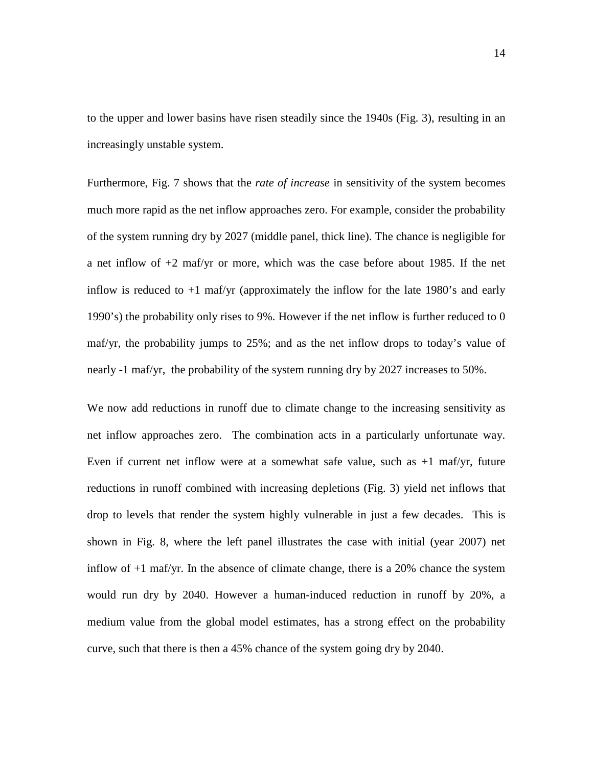to the upper and lower basins have risen steadily since the 1940s (Fig. 3), resulting in an increasingly unstable system.

Furthermore, Fig. 7 shows that the *rate of increase* in sensitivity of the system becomes much more rapid as the net inflow approaches zero. For example, consider the probability of the system running dry by 2027 (middle panel, thick line). The chance is negligible for a net inflow of +2 maf/yr or more, which was the case before about 1985. If the net inflow is reduced to +1 maf/yr (approximately the inflow for the late 1980's and early 1990's) the probability only rises to 9%. However if the net inflow is further reduced to 0 maf/yr, the probability jumps to 25%; and as the net inflow drops to today's value of nearly -1 maf/yr, the probability of the system running dry by 2027 increases to 50%.

We now add reductions in runoff due to climate change to the increasing sensitivity as net inflow approaches zero. The combination acts in a particularly unfortunate way. Even if current net inflow were at a somewhat safe value, such as  $+1$  maf/yr, future reductions in runoff combined with increasing depletions (Fig. 3) yield net inflows that drop to levels that render the system highly vulnerable in just a few decades. This is shown in Fig. 8, where the left panel illustrates the case with initial (year 2007) net inflow of +1 maf/yr. In the absence of climate change, there is a 20% chance the system would run dry by 2040. However a human-induced reduction in runoff by 20%, a medium value from the global model estimates, has a strong effect on the probability curve, such that there is then a 45% chance of the system going dry by 2040.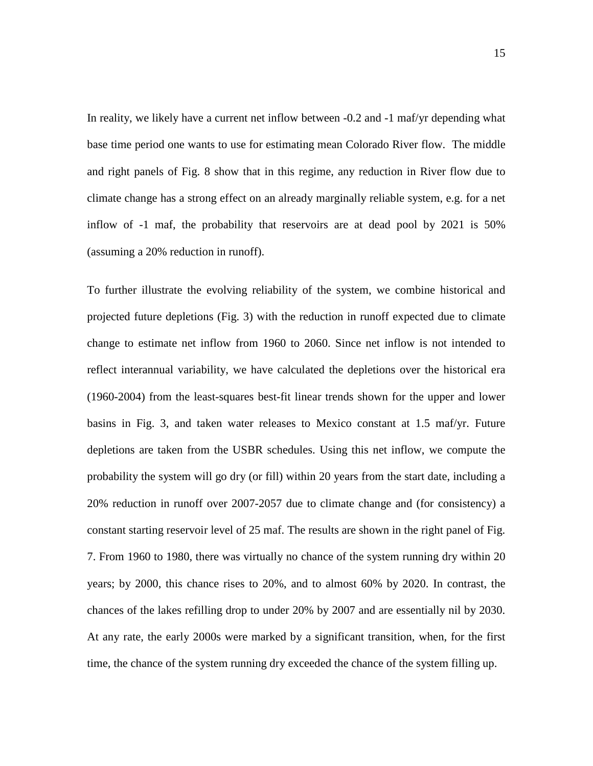In reality, we likely have a current net inflow between -0.2 and -1 maf/yr depending what base time period one wants to use for estimating mean Colorado River flow. The middle and right panels of Fig. 8 show that in this regime, any reduction in River flow due to climate change has a strong effect on an already marginally reliable system, e.g. for a net inflow of -1 maf, the probability that reservoirs are at dead pool by 2021 is 50% (assuming a 20% reduction in runoff).

To further illustrate the evolving reliability of the system, we combine historical and projected future depletions (Fig. 3) with the reduction in runoff expected due to climate change to estimate net inflow from 1960 to 2060. Since net inflow is not intended to reflect interannual variability, we have calculated the depletions over the historical era (1960-2004) from the least-squares best-fit linear trends shown for the upper and lower basins in Fig. 3, and taken water releases to Mexico constant at 1.5 maf/yr. Future depletions are taken from the USBR schedules. Using this net inflow, we compute the probability the system will go dry (or fill) within 20 years from the start date, including a 20% reduction in runoff over 2007-2057 due to climate change and (for consistency) a constant starting reservoir level of 25 maf. The results are shown in the right panel of Fig. 7. From 1960 to 1980, there was virtually no chance of the system running dry within 20 years; by 2000, this chance rises to 20%, and to almost 60% by 2020. In contrast, the chances of the lakes refilling drop to under 20% by 2007 and are essentially nil by 2030. At any rate, the early 2000s were marked by a significant transition, when, for the first time, the chance of the system running dry exceeded the chance of the system filling up.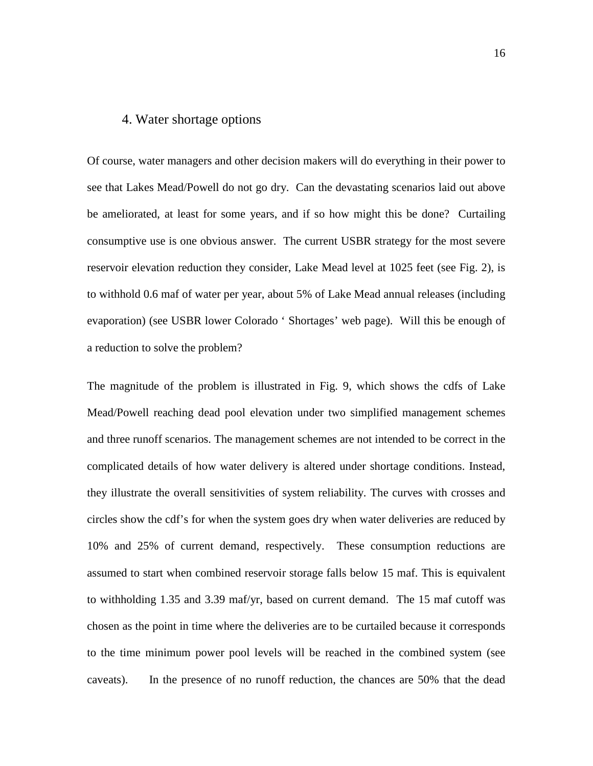## 4. Water shortage options

Of course, water managers and other decision makers will do everything in their power to see that Lakes Mead/Powell do not go dry. Can the devastating scenarios laid out above be ameliorated, at least for some years, and if so how might this be done? Curtailing consumptive use is one obvious answer. The current USBR strategy for the most severe reservoir elevation reduction they consider, Lake Mead level at 1025 feet (see Fig. 2), is to withhold 0.6 maf of water per year, about 5% of Lake Mead annual releases (including evaporation) (see USBR lower Colorado ' Shortages' web page). Will this be enough of a reduction to solve the problem?

The magnitude of the problem is illustrated in Fig. 9, which shows the cdfs of Lake Mead/Powell reaching dead pool elevation under two simplified management schemes and three runoff scenarios. The management schemes are not intended to be correct in the complicated details of how water delivery is altered under shortage conditions. Instead, they illustrate the overall sensitivities of system reliability. The curves with crosses and circles show the cdf's for when the system goes dry when water deliveries are reduced by 10% and 25% of current demand, respectively. These consumption reductions are assumed to start when combined reservoir storage falls below 15 maf. This is equivalent to withholding 1.35 and 3.39 maf/yr, based on current demand. The 15 maf cutoff was chosen as the point in time where the deliveries are to be curtailed because it corresponds to the time minimum power pool levels will be reached in the combined system (see caveats). In the presence of no runoff reduction, the chances are 50% that the dead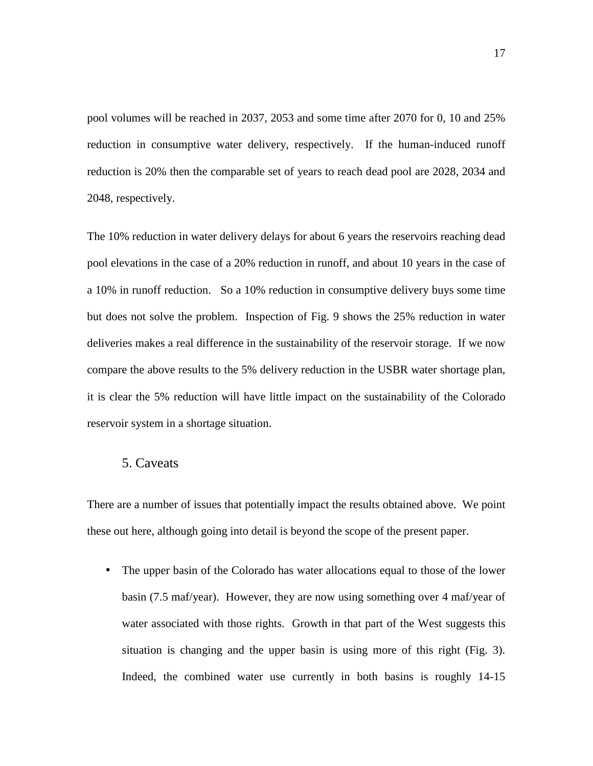pool volumes will be reached in 2037, 2053 and some time after 2070 for 0, 10 and 25% reduction in consumptive water delivery, respectively. If the human-induced runoff reduction is 20% then the comparable set of years to reach dead pool are 2028, 2034 and 2048, respectively.

The 10% reduction in water delivery delays for about 6 years the reservoirs reaching dead pool elevations in the case of a 20% reduction in runoff, and about 10 years in the case of a 10% in runoff reduction. So a 10% reduction in consumptive delivery buys some time but does not solve the problem. Inspection of Fig. 9 shows the 25% reduction in water deliveries makes a real difference in the sustainability of the reservoir storage. If we now compare the above results to the 5% delivery reduction in the USBR water shortage plan, it is clear the 5% reduction will have little impact on the sustainability of the Colorado reservoir system in a shortage situation.

## 5. Caveats

There are a number of issues that potentially impact the results obtained above. We point these out here, although going into detail is beyond the scope of the present paper.

• The upper basin of the Colorado has water allocations equal to those of the lower basin (7.5 maf/year). However, they are now using something over 4 maf/year of water associated with those rights. Growth in that part of the West suggests this situation is changing and the upper basin is using more of this right (Fig. 3). Indeed, the combined water use currently in both basins is roughly 14-15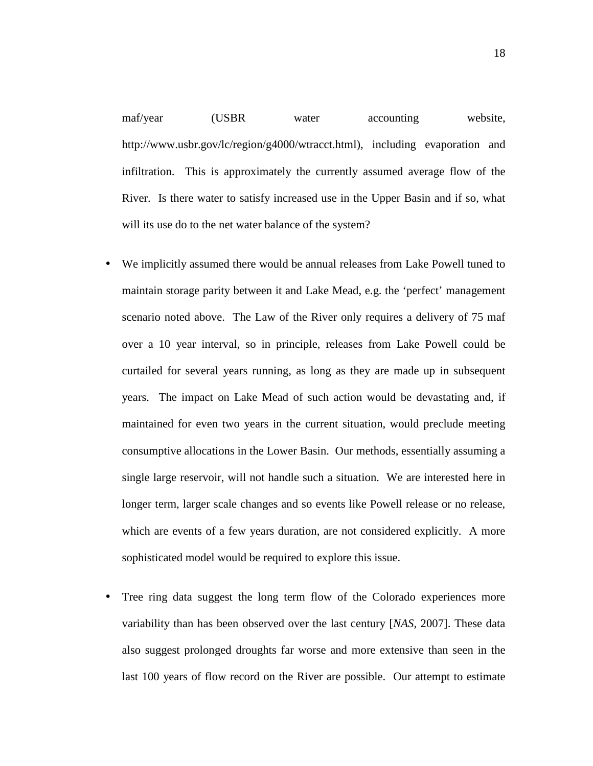maf/year (USBR water accounting website, http://www.usbr.gov/lc/region/g4000/wtracct.html), including evaporation and infiltration. This is approximately the currently assumed average flow of the River. Is there water to satisfy increased use in the Upper Basin and if so, what will its use do to the net water balance of the system?

- We implicitly assumed there would be annual releases from Lake Powell tuned to maintain storage parity between it and Lake Mead, e.g. the 'perfect' management scenario noted above. The Law of the River only requires a delivery of 75 maf over a 10 year interval, so in principle, releases from Lake Powell could be curtailed for several years running, as long as they are made up in subsequent years. The impact on Lake Mead of such action would be devastating and, if maintained for even two years in the current situation, would preclude meeting consumptive allocations in the Lower Basin. Our methods, essentially assuming a single large reservoir, will not handle such a situation. We are interested here in longer term, larger scale changes and so events like Powell release or no release, which are events of a few years duration, are not considered explicitly. A more sophisticated model would be required to explore this issue.
- Tree ring data suggest the long term flow of the Colorado experiences more variability than has been observed over the last century [*NAS*, 2007]. These data also suggest prolonged droughts far worse and more extensive than seen in the last 100 years of flow record on the River are possible. Our attempt to estimate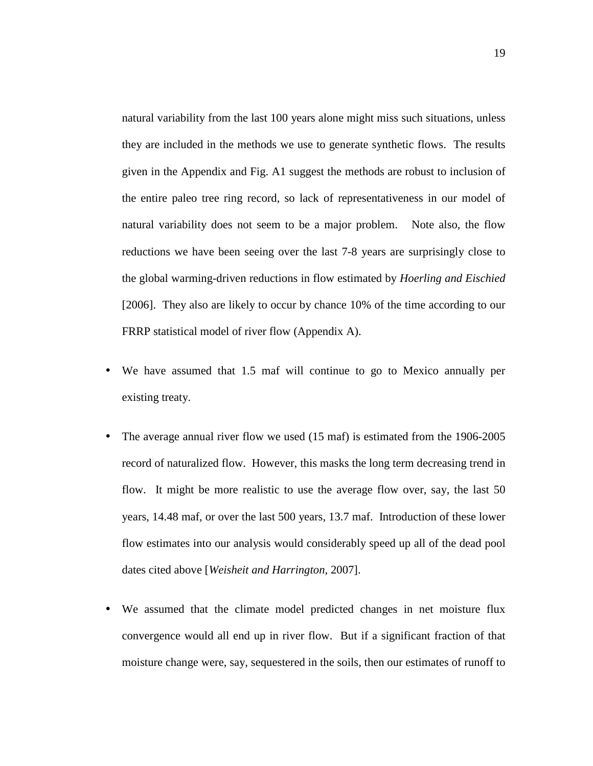natural variability from the last 100 years alone might miss such situations, unless they are included in the methods we use to generate synthetic flows. The results given in the Appendix and Fig. A1 suggest the methods are robust to inclusion of the entire paleo tree ring record, so lack of representativeness in our model of natural variability does not seem to be a major problem. Note also, the flow reductions we have been seeing over the last 7-8 years are surprisingly close to the global warming-driven reductions in flow estimated by *Hoerling and Eischied*  [2006]. They also are likely to occur by chance 10% of the time according to our FRRP statistical model of river flow (Appendix A).

- We have assumed that 1.5 maf will continue to go to Mexico annually per existing treaty.
- The average annual river flow we used (15 maf) is estimated from the 1906-2005 record of naturalized flow. However, this masks the long term decreasing trend in flow. It might be more realistic to use the average flow over, say, the last 50 years, 14.48 maf, or over the last 500 years, 13.7 maf. Introduction of these lower flow estimates into our analysis would considerably speed up all of the dead pool dates cited above [*Weisheit and Harrington*, 2007].
- We assumed that the climate model predicted changes in net moisture flux convergence would all end up in river flow. But if a significant fraction of that moisture change were, say, sequestered in the soils, then our estimates of runoff to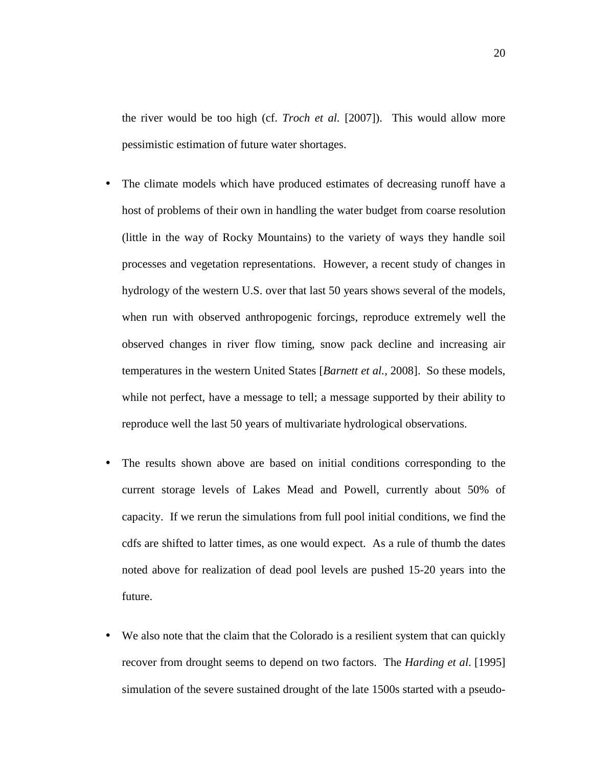the river would be too high (cf. *Troch et al.* [2007]). This would allow more pessimistic estimation of future water shortages.

- The climate models which have produced estimates of decreasing runoff have a host of problems of their own in handling the water budget from coarse resolution (little in the way of Rocky Mountains) to the variety of ways they handle soil processes and vegetation representations. However, a recent study of changes in hydrology of the western U.S. over that last 50 years shows several of the models, when run with observed anthropogenic forcings, reproduce extremely well the observed changes in river flow timing, snow pack decline and increasing air temperatures in the western United States [*Barnett et al.,* 2008]. So these models, while not perfect, have a message to tell; a message supported by their ability to reproduce well the last 50 years of multivariate hydrological observations.
- The results shown above are based on initial conditions corresponding to the current storage levels of Lakes Mead and Powell, currently about 50% of capacity. If we rerun the simulations from full pool initial conditions, we find the cdfs are shifted to latter times, as one would expect. As a rule of thumb the dates noted above for realization of dead pool levels are pushed 15-20 years into the future.
- We also note that the claim that the Colorado is a resilient system that can quickly recover from drought seems to depend on two factors. The *Harding et al*. [1995] simulation of the severe sustained drought of the late 1500s started with a pseudo-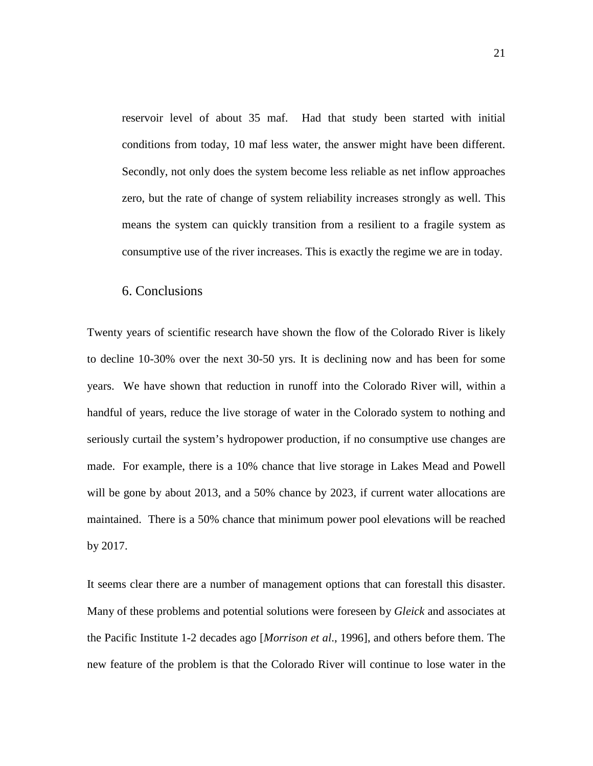reservoir level of about 35 maf. Had that study been started with initial conditions from today, 10 maf less water, the answer might have been different. Secondly, not only does the system become less reliable as net inflow approaches zero, but the rate of change of system reliability increases strongly as well. This means the system can quickly transition from a resilient to a fragile system as consumptive use of the river increases. This is exactly the regime we are in today.

## 6. Conclusions

Twenty years of scientific research have shown the flow of the Colorado River is likely to decline 10-30% over the next 30-50 yrs. It is declining now and has been for some years. We have shown that reduction in runoff into the Colorado River will, within a handful of years, reduce the live storage of water in the Colorado system to nothing and seriously curtail the system's hydropower production, if no consumptive use changes are made. For example, there is a 10% chance that live storage in Lakes Mead and Powell will be gone by about 2013, and a 50% chance by 2023, if current water allocations are maintained. There is a 50% chance that minimum power pool elevations will be reached by 2017.

It seems clear there are a number of management options that can forestall this disaster. Many of these problems and potential solutions were foreseen by *Gleick* and associates at the Pacific Institute 1-2 decades ago [*Morrison et al*., 1996], and others before them. The new feature of the problem is that the Colorado River will continue to lose water in the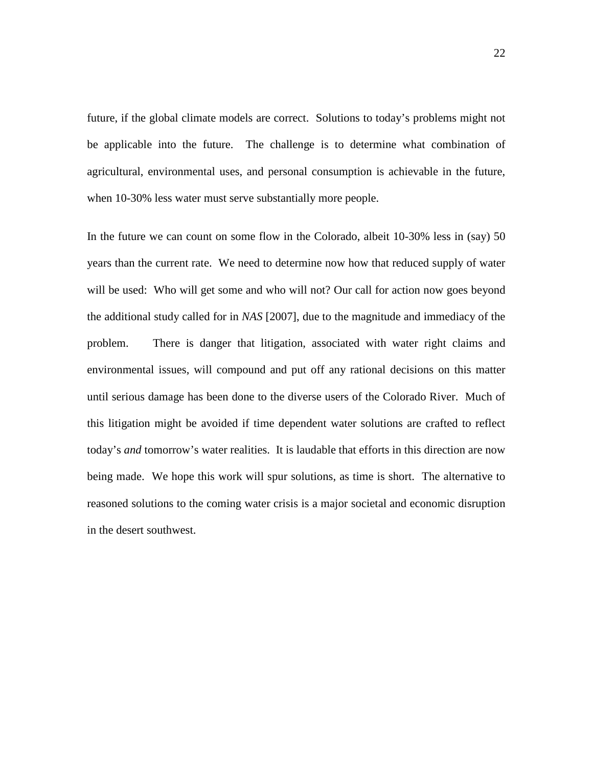future, if the global climate models are correct. Solutions to today's problems might not be applicable into the future. The challenge is to determine what combination of agricultural, environmental uses, and personal consumption is achievable in the future, when 10-30% less water must serve substantially more people.

In the future we can count on some flow in the Colorado, albeit 10-30% less in (say) 50 years than the current rate. We need to determine now how that reduced supply of water will be used: Who will get some and who will not? Our call for action now goes beyond the additional study called for in *NAS* [2007], due to the magnitude and immediacy of the problem. There is danger that litigation, associated with water right claims and environmental issues, will compound and put off any rational decisions on this matter until serious damage has been done to the diverse users of the Colorado River. Much of this litigation might be avoided if time dependent water solutions are crafted to reflect today's *and* tomorrow's water realities. It is laudable that efforts in this direction are now being made. We hope this work will spur solutions, as time is short. The alternative to reasoned solutions to the coming water crisis is a major societal and economic disruption in the desert southwest.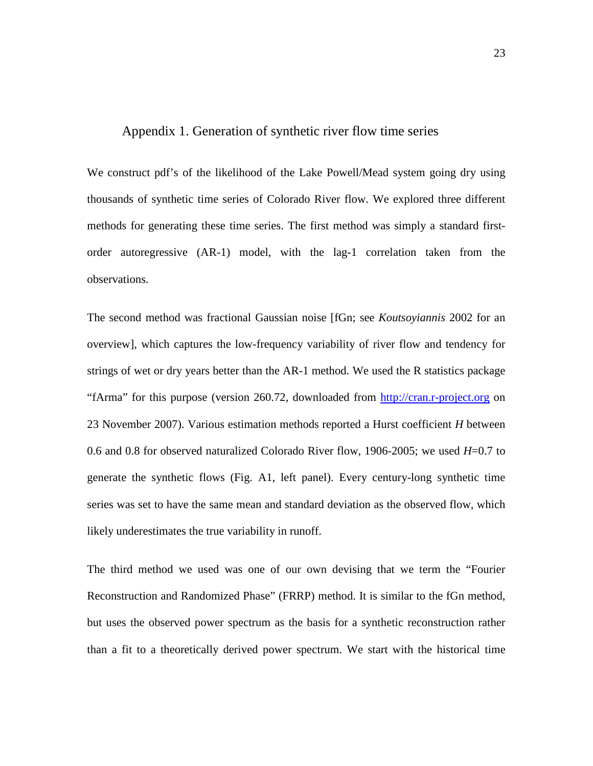## Appendix 1. Generation of synthetic river flow time series

We construct pdf's of the likelihood of the Lake Powell/Mead system going dry using thousands of synthetic time series of Colorado River flow. We explored three different methods for generating these time series. The first method was simply a standard firstorder autoregressive (AR-1) model, with the lag-1 correlation taken from the observations.

The second method was fractional Gaussian noise [fGn; see *Koutsoyiannis* 2002 for an overview], which captures the low-frequency variability of river flow and tendency for strings of wet or dry years better than the AR-1 method. We used the R statistics package "fArma" for this purpose (version 260.72, downloaded from http://cran.r-project.org on 23 November 2007). Various estimation methods reported a Hurst coefficient *H* between 0.6 and 0.8 for observed naturalized Colorado River flow, 1906-2005; we used *H*=0.7 to generate the synthetic flows (Fig. A1, left panel). Every century-long synthetic time series was set to have the same mean and standard deviation as the observed flow, which likely underestimates the true variability in runoff.

The third method we used was one of our own devising that we term the "Fourier Reconstruction and Randomized Phase" (FRRP) method. It is similar to the fGn method, but uses the observed power spectrum as the basis for a synthetic reconstruction rather than a fit to a theoretically derived power spectrum. We start with the historical time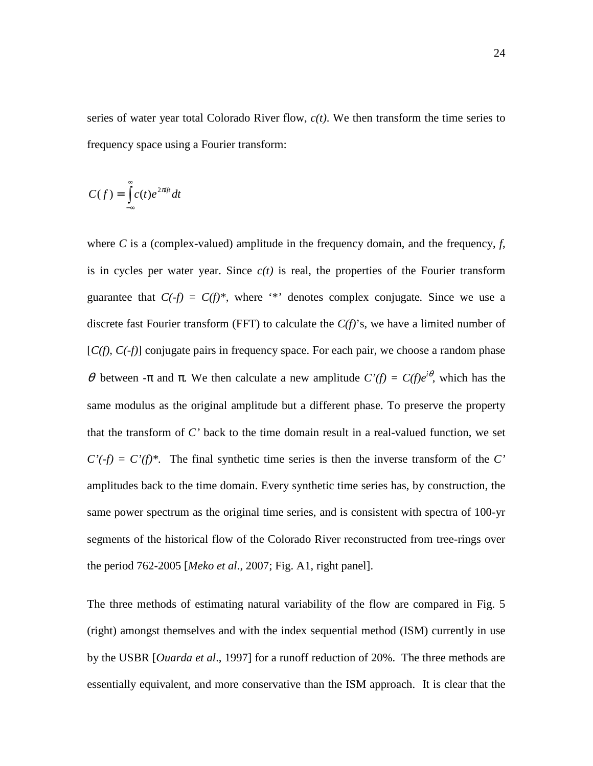series of water year total Colorado River flow, *c(t)*. We then transform the time series to frequency space using a Fourier transform:

$$
C(f) = \int_{-\infty}^{\infty} c(t)e^{2\pi i f t} dt
$$

where  $C$  is a (complex-valued) amplitude in the frequency domain, and the frequency,  $f$ , is in cycles per water year. Since  $c(t)$  is real, the properties of the Fourier transform guarantee that  $C(-f) = C(f)^*$ , where '\*' denotes complex conjugate. Since we use a discrete fast Fourier transform (FFT) to calculate the *C(f)*'s, we have a limited number of [*C(f), C(-f)*] conjugate pairs in frequency space. For each pair, we choose a random phase θ between -π and π. We then calculate a new amplitude  $C'(f) = C(f)e^{i\theta}$ , which has the same modulus as the original amplitude but a different phase. To preserve the property that the transform of *C'* back to the time domain result in a real-valued function, we set  $C'(-f) = C'(f)^*$ . The final synthetic time series is then the inverse transform of the *C*' amplitudes back to the time domain. Every synthetic time series has, by construction, the same power spectrum as the original time series, and is consistent with spectra of 100-yr segments of the historical flow of the Colorado River reconstructed from tree-rings over the period 762-2005 [*Meko et al*., 2007; Fig. A1, right panel].

The three methods of estimating natural variability of the flow are compared in Fig. 5 (right) amongst themselves and with the index sequential method (ISM) currently in use by the USBR [*Ouarda et al*., 1997] for a runoff reduction of 20%. The three methods are essentially equivalent, and more conservative than the ISM approach. It is clear that the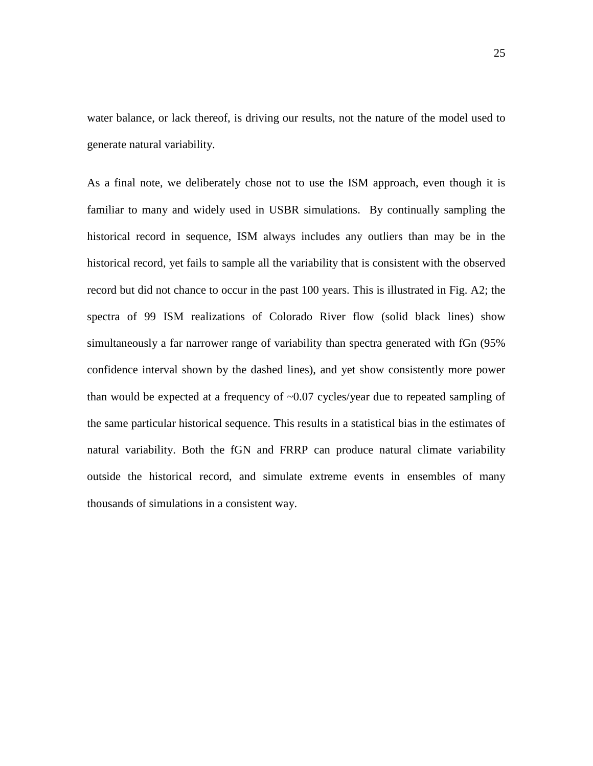water balance, or lack thereof, is driving our results, not the nature of the model used to generate natural variability.

As a final note, we deliberately chose not to use the ISM approach, even though it is familiar to many and widely used in USBR simulations. By continually sampling the historical record in sequence, ISM always includes any outliers than may be in the historical record, yet fails to sample all the variability that is consistent with the observed record but did not chance to occur in the past 100 years. This is illustrated in Fig. A2; the spectra of 99 ISM realizations of Colorado River flow (solid black lines) show simultaneously a far narrower range of variability than spectra generated with fGn (95% confidence interval shown by the dashed lines), and yet show consistently more power than would be expected at a frequency of  $\sim 0.07$  cycles/year due to repeated sampling of the same particular historical sequence. This results in a statistical bias in the estimates of natural variability. Both the fGN and FRRP can produce natural climate variability outside the historical record, and simulate extreme events in ensembles of many thousands of simulations in a consistent way.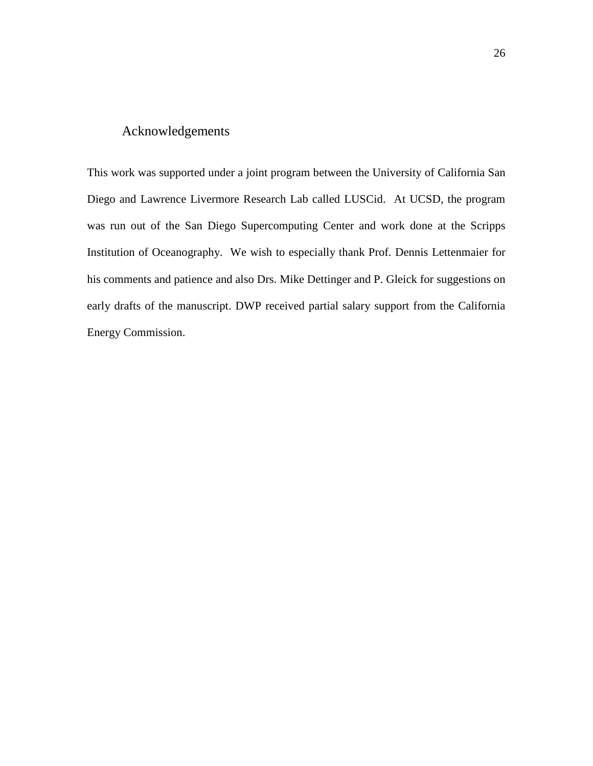# Acknowledgements

This work was supported under a joint program between the University of California San Diego and Lawrence Livermore Research Lab called LUSCid. At UCSD, the program was run out of the San Diego Supercomputing Center and work done at the Scripps Institution of Oceanography. We wish to especially thank Prof. Dennis Lettenmaier for his comments and patience and also Drs. Mike Dettinger and P. Gleick for suggestions on early drafts of the manuscript. DWP received partial salary support from the California Energy Commission.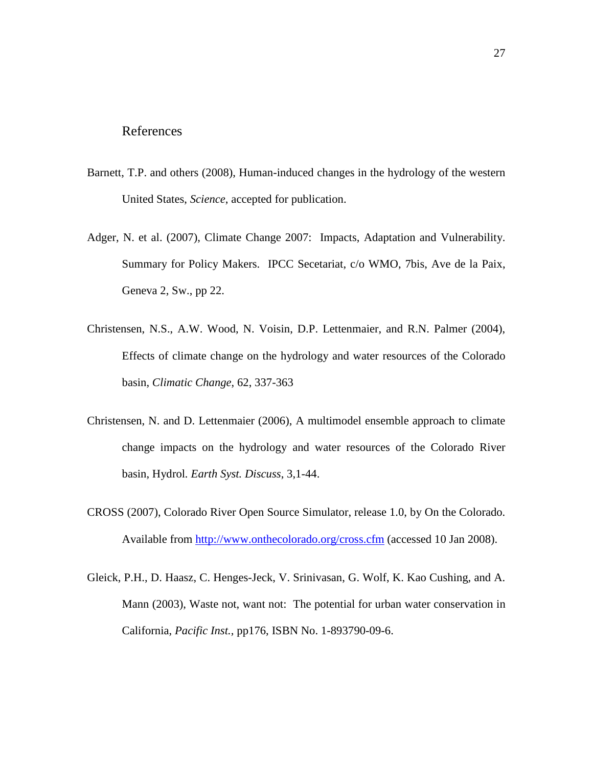#### References

- Barnett, T.P. and others (2008), Human-induced changes in the hydrology of the western United States, *Science*, accepted for publication.
- Adger, N. et al. (2007), Climate Change 2007: Impacts, Adaptation and Vulnerability. Summary for Policy Makers. IPCC Secetariat, c/o WMO, 7bis, Ave de la Paix, Geneva 2, Sw., pp 22.
- Christensen, N.S., A.W. Wood, N. Voisin, D.P. Lettenmaier, and R.N. Palmer (2004), Effects of climate change on the hydrology and water resources of the Colorado basin, *Climatic Change*, 62, 337-363
- Christensen, N. and D. Lettenmaier (2006), A multimodel ensemble approach to climate change impacts on the hydrology and water resources of the Colorado River basin, Hydrol*. Earth Syst. Discuss*, 3,1-44.
- CROSS (2007), Colorado River Open Source Simulator, release 1.0, by On the Colorado. Available from http://www.onthecolorado.org/cross.cfm (accessed 10 Jan 2008).
- Gleick, P.H., D. Haasz, C. Henges-Jeck, V. Srinivasan, G. Wolf, K. Kao Cushing, and A. Mann (2003), Waste not, want not: The potential for urban water conservation in California, *Pacific Inst.,* pp176, ISBN No. 1-893790-09-6.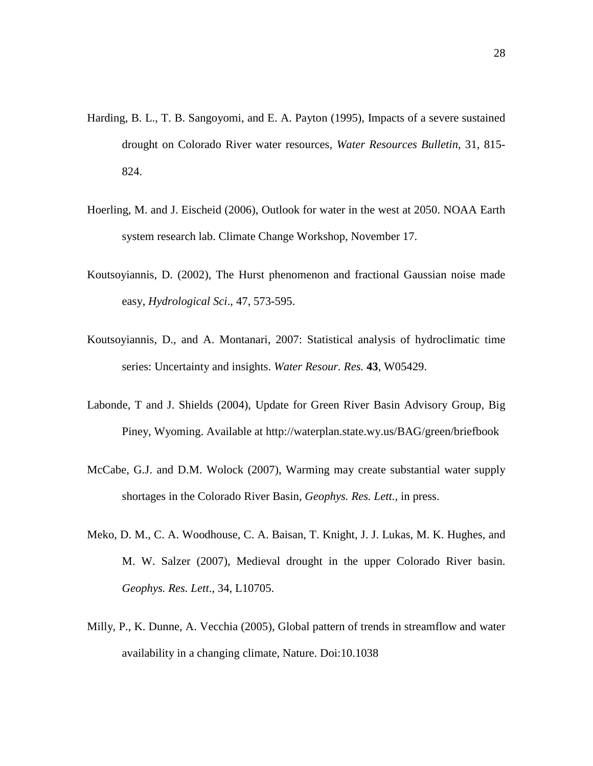- Harding, B. L., T. B. Sangoyomi, and E. A. Payton (1995), Impacts of a severe sustained drought on Colorado River water resources, *Water Resources Bulletin*, 31, 815- 824.
- Hoerling, M. and J. Eischeid (2006), Outlook for water in the west at 2050. NOAA Earth system research lab. Climate Change Workshop, November 17.
- Koutsoyiannis, D. (2002), The Hurst phenomenon and fractional Gaussian noise made easy, *Hydrological Sci*., 47, 573-595.
- Koutsoyiannis, D., and A. Montanari, 2007: Statistical analysis of hydroclimatic time series: Uncertainty and insights. *Water Resour. Res.* **43**, W05429.
- Labonde, T and J. Shields (2004), Update for Green River Basin Advisory Group, Big Piney, Wyoming. Available at http://waterplan.state.wy.us/BAG/green/briefbook
- McCabe, G.J. and D.M. Wolock (2007), Warming may create substantial water supply shortages in the Colorado River Basin, *Geophys. Res. Lett.,* in press.
- Meko, D. M., C. A. Woodhouse, C. A. Baisan, T. Knight, J. J. Lukas, M. K. Hughes, and M. W. Salzer (2007), Medieval drought in the upper Colorado River basin. *Geophys. Res. Lett*., 34, L10705.
- Milly, P., K. Dunne, A. Vecchia (2005), Global pattern of trends in streamflow and water availability in a changing climate, Nature. Doi:10.1038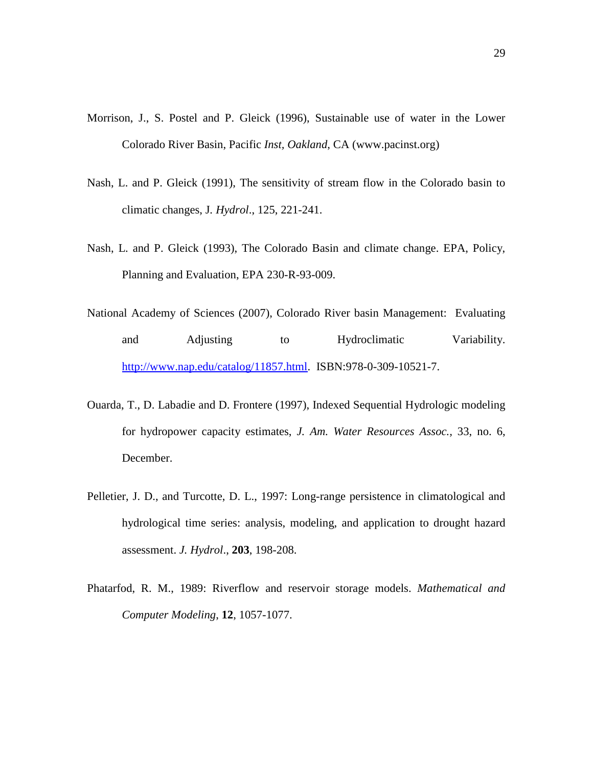- Morrison, J., S. Postel and P. Gleick (1996), Sustainable use of water in the Lower Colorado River Basin, Pacific *Inst, Oakland*, CA (www.pacinst.org)
- Nash, L. and P. Gleick (1991), The sensitivity of stream flow in the Colorado basin to climatic changes, J*. Hydrol*., 125, 221-241.
- Nash, L. and P. Gleick (1993), The Colorado Basin and climate change. EPA, Policy, Planning and Evaluation, EPA 230-R-93-009.
- National Academy of Sciences (2007), Colorado River basin Management: Evaluating and Adjusting to Hydroclimatic Variability. http://www.nap.edu/catalog/11857.html. ISBN:978-0-309-10521-7.
- Ouarda, T., D. Labadie and D. Frontere (1997), Indexed Sequential Hydrologic modeling for hydropower capacity estimates, *J. Am. Water Resources Assoc.,* 33, no. 6, December.
- Pelletier, J. D., and Turcotte, D. L., 1997: Long-range persistence in climatological and hydrological time series: analysis, modeling, and application to drought hazard assessment. *J. Hydrol*., **203**, 198-208.
- Phatarfod, R. M., 1989: Riverflow and reservoir storage models. *Mathematical and Computer Modeling*, **12**, 1057-1077.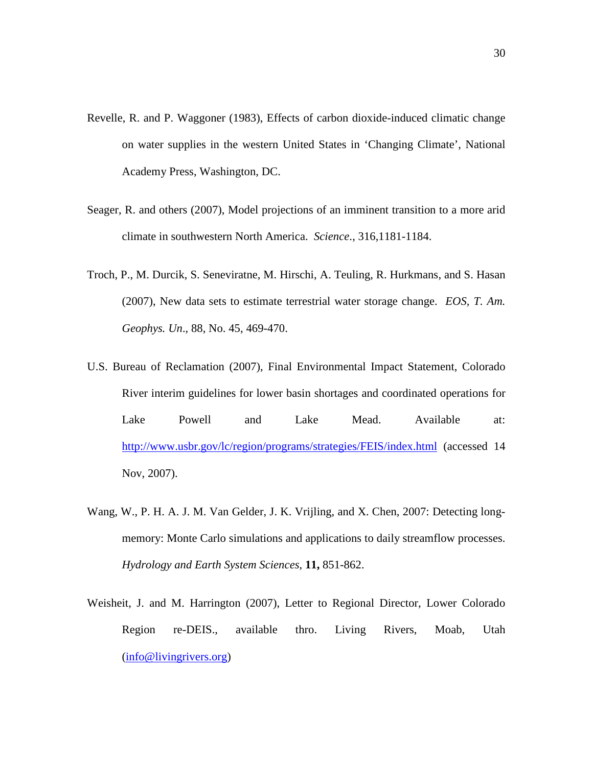- Revelle, R. and P. Waggoner (1983), Effects of carbon dioxide-induced climatic change on water supplies in the western United States in 'Changing Climate', National Academy Press, Washington, DC.
- Seager, R. and others (2007), Model projections of an imminent transition to a more arid climate in southwestern North America. *Science*., 316,1181-1184.
- Troch, P., M. Durcik, S. Seneviratne, M. Hirschi, A. Teuling, R. Hurkmans, and S. Hasan (2007), New data sets to estimate terrestrial water storage change. *EOS, T. Am. Geophys. Un*., 88, No. 45, 469-470.
- U.S. Bureau of Reclamation (2007), Final Environmental Impact Statement, Colorado River interim guidelines for lower basin shortages and coordinated operations for Lake Powell and Lake Mead. Available at: http://www.usbr.gov/lc/region/programs/strategies/FEIS/index.html (accessed 14 Nov, 2007).
- Wang, W., P. H. A. J. M. Van Gelder, J. K. Vrijling, and X. Chen, 2007: Detecting longmemory: Monte Carlo simulations and applications to daily streamflow processes. *Hydrology and Earth System Sciences*, **11,** 851-862.
- Weisheit, J. and M. Harrington (2007), Letter to Regional Director, Lower Colorado Region re-DEIS., available thro. Living Rivers, Moab, Utah (info@livingrivers.org)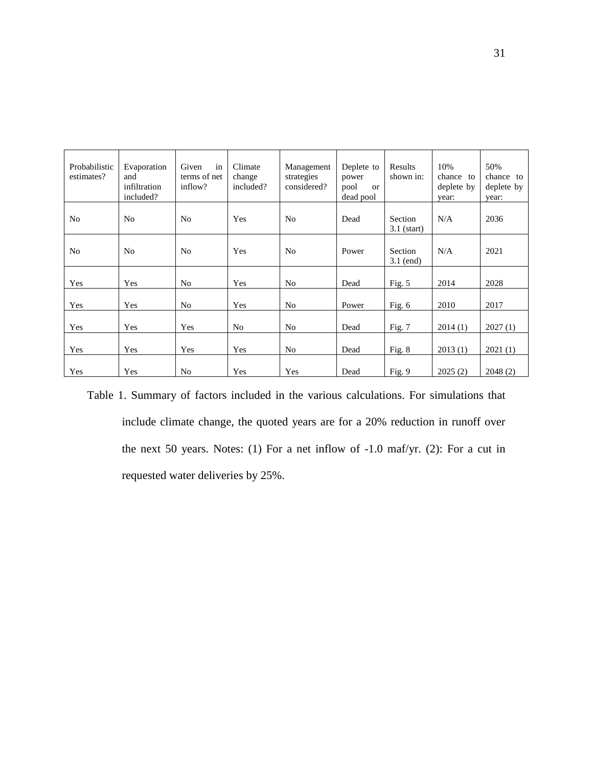| Probabilistic<br>estimates? | Evaporation<br>and<br>infiltration<br>included? | Given<br>in<br>terms of net<br>inflow? | Climate<br>change<br>included? | Management<br>strategies<br>considered? | Deplete to<br>power<br>pool<br><b>or</b><br>dead pool | Results<br>shown in:     | 10%<br>chance to<br>deplete by<br>vear: | 50%<br>chance<br>to<br>deplete by<br>year: |
|-----------------------------|-------------------------------------------------|----------------------------------------|--------------------------------|-----------------------------------------|-------------------------------------------------------|--------------------------|-----------------------------------------|--------------------------------------------|
| N <sub>o</sub>              | N <sub>0</sub>                                  | N <sub>0</sub>                         | Yes                            | N <sub>0</sub>                          | Dead                                                  | Section<br>$3.1$ (start) | N/A                                     | 2036                                       |
| N <sub>o</sub>              | N <sub>0</sub>                                  | N <sub>o</sub>                         | Yes                            | N <sub>0</sub>                          | Power                                                 | Section<br>$3.1$ (end)   | N/A                                     | 2021                                       |
| Yes                         | Yes                                             | N <sub>o</sub>                         | Yes                            | No                                      | Dead                                                  | Fig. $5$                 | 2014                                    | 2028                                       |
| Yes                         | Yes                                             | No                                     | Yes                            | No                                      | Power                                                 | Fig. $6$                 | 2010                                    | 2017                                       |
| Yes                         | Yes                                             | Yes                                    | N <sub>0</sub>                 | N <sub>o</sub>                          | Dead                                                  | Fig. 7                   | 2014(1)                                 | 2027(1)                                    |
| Yes                         | Yes                                             | Yes                                    | Yes                            | No                                      | Dead                                                  | Fig. 8                   | 2013(1)                                 | 2021(1)                                    |
| Yes                         | Yes                                             | No                                     | Yes                            | Yes                                     | Dead                                                  | Fig. 9                   | 2025(2)                                 | 2048(2)                                    |

Table 1. Summary of factors included in the various calculations. For simulations that include climate change, the quoted years are for a 20% reduction in runoff over the next 50 years. Notes: (1) For a net inflow of -1.0 maf/yr. (2): For a cut in requested water deliveries by 25%.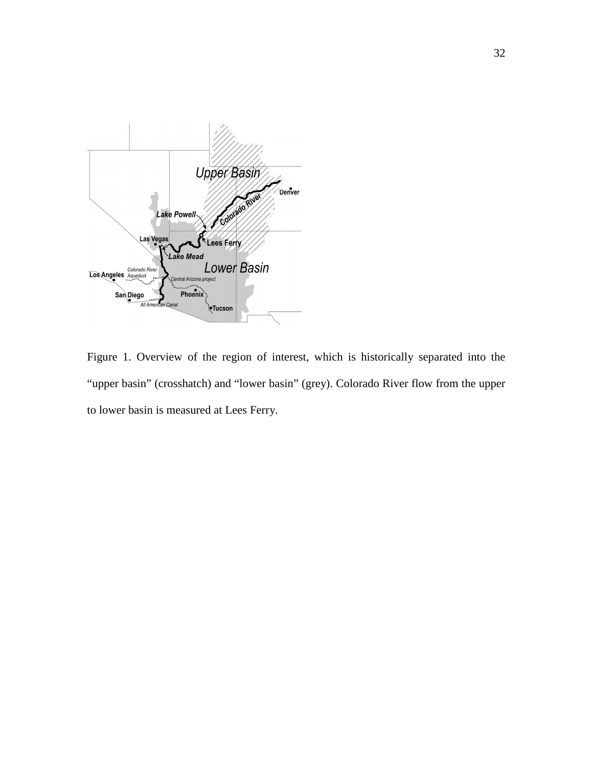

Figure 1. Overview of the region of interest, which is historically separated into the "upper basin" (crosshatch) and "lower basin" (grey). Colorado River flow from the upper to lower basin is measured at Lees Ferry.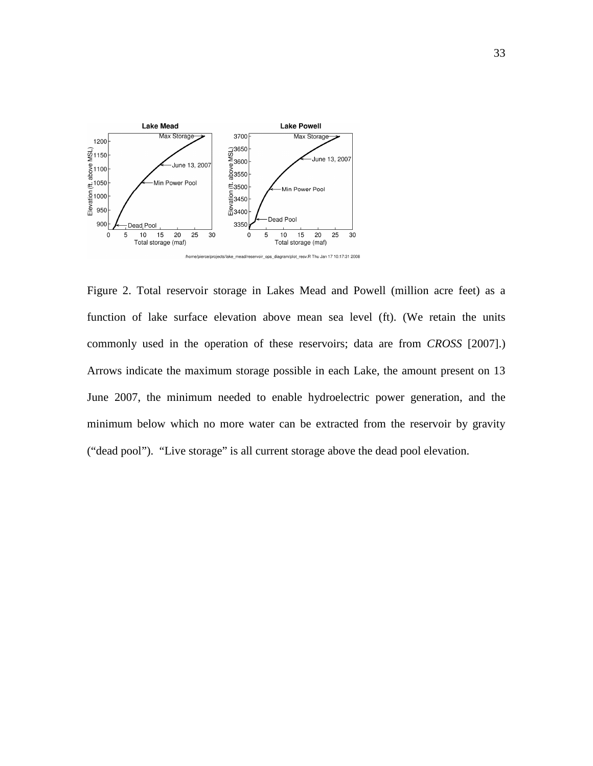

Figure 2. Total reservoir storage in Lakes Mead and Powell (million acre feet) as a function of lake surface elevation above mean sea level (ft). (We retain the units commonly used in the operation of these reservoirs; data are from *CROSS* [2007].) Arrows indicate the maximum storage possible in each Lake, the amount present on 13 June 2007, the minimum needed to enable hydroelectric power generation, and the minimum below which no more water can be extracted from the reservoir by gravity ("dead pool"). "Live storage" is all current storage above the dead pool elevation.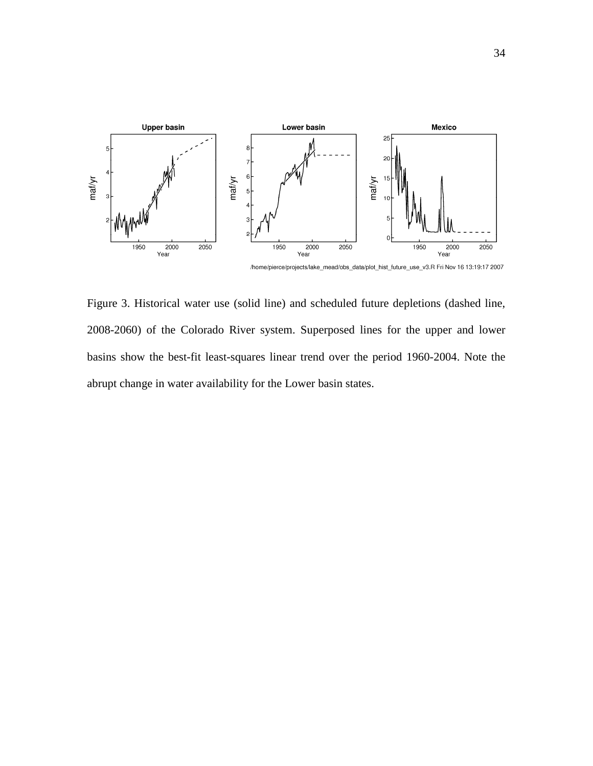

/home/pierce/projects/lake\_mead/obs\_data/plot\_hist\_future\_use\_v3.R Fri Nov 16 13:19:17 2007

Figure 3. Historical water use (solid line) and scheduled future depletions (dashed line, 2008-2060) of the Colorado River system. Superposed lines for the upper and lower basins show the best-fit least-squares linear trend over the period 1960-2004. Note the abrupt change in water availability for the Lower basin states.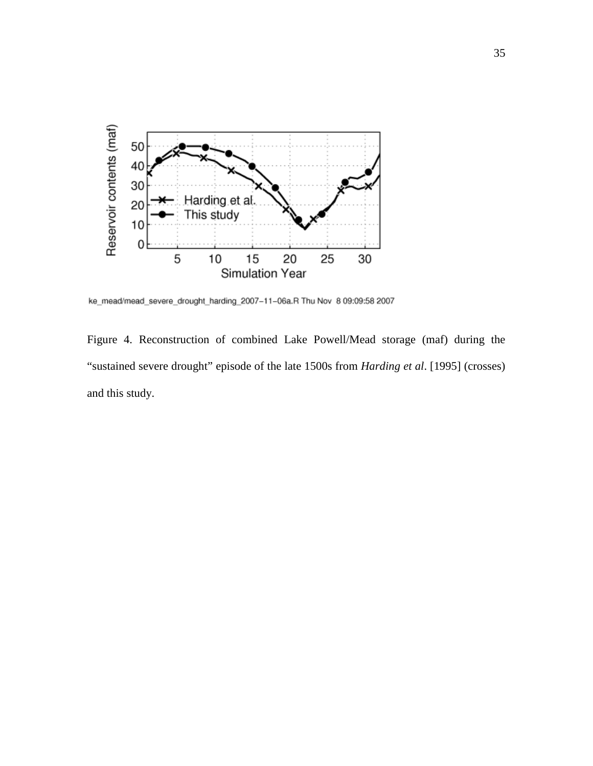

ke\_mead/mead\_severe\_drought\_harding\_2007-11-06a.R Thu Nov 8 09:09:58 2007

Figure 4. Reconstruction of combined Lake Powell/Mead storage (maf) during the "sustained severe drought" episode of the late 1500s from *Harding et al*. [1995] (crosses) and this study.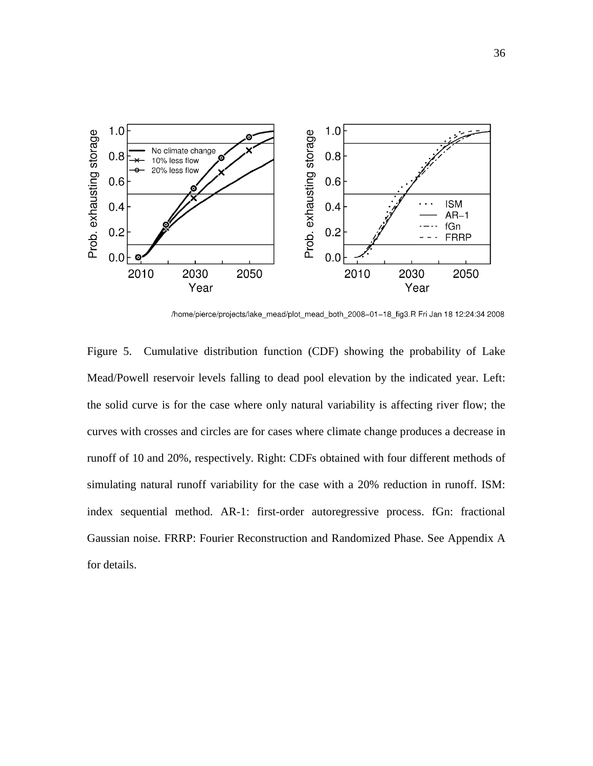

/home/pierce/projects/lake\_mead/plot\_mead\_both\_2008-01-18\_fig3.R Fri Jan 18 12:24:34 2008

Figure 5. Cumulative distribution function (CDF) showing the probability of Lake Mead/Powell reservoir levels falling to dead pool elevation by the indicated year. Left: the solid curve is for the case where only natural variability is affecting river flow; the curves with crosses and circles are for cases where climate change produces a decrease in runoff of 10 and 20%, respectively. Right: CDFs obtained with four different methods of simulating natural runoff variability for the case with a 20% reduction in runoff. ISM: index sequential method. AR-1: first-order autoregressive process. fGn: fractional Gaussian noise. FRRP: Fourier Reconstruction and Randomized Phase. See Appendix A for details.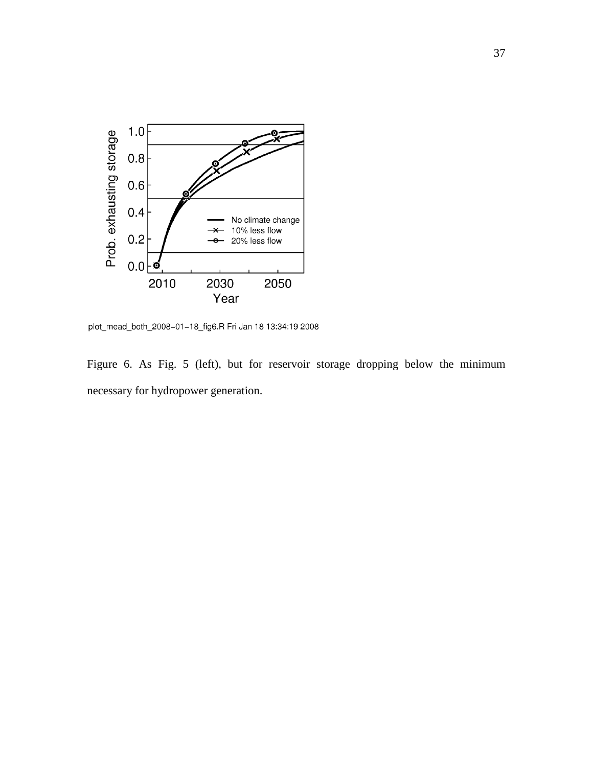

plot\_mead\_both\_2008-01-18\_fig6.R Fri Jan 18 13:34:19 2008

Figure 6. As Fig. 5 (left), but for reservoir storage dropping below the minimum necessary for hydropower generation.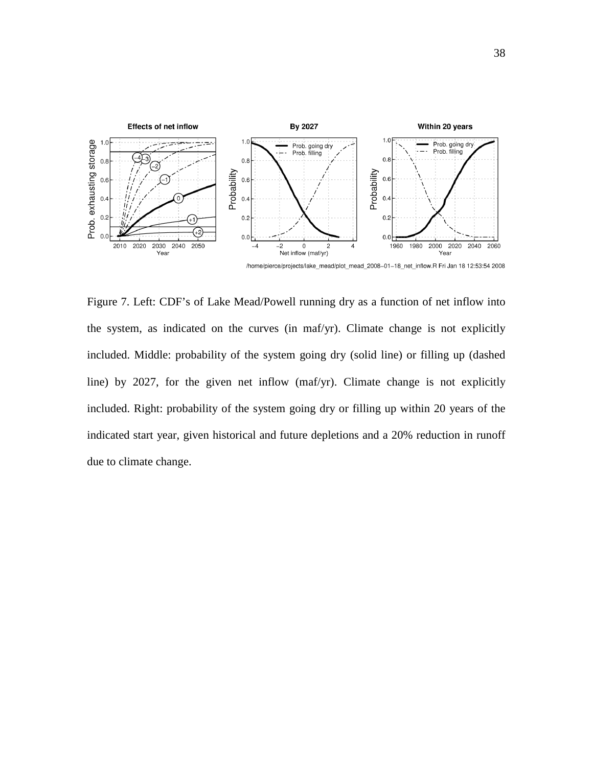

/home/pierce/projects/lake\_mead/plot\_mead\_2008-01-18\_net\_inflow.R Fri Jan 18 12:53:54 2008

Figure 7. Left: CDF's of Lake Mead/Powell running dry as a function of net inflow into the system, as indicated on the curves (in maf/yr). Climate change is not explicitly included. Middle: probability of the system going dry (solid line) or filling up (dashed line) by 2027, for the given net inflow (maf/yr). Climate change is not explicitly included. Right: probability of the system going dry or filling up within 20 years of the indicated start year, given historical and future depletions and a 20% reduction in runoff due to climate change.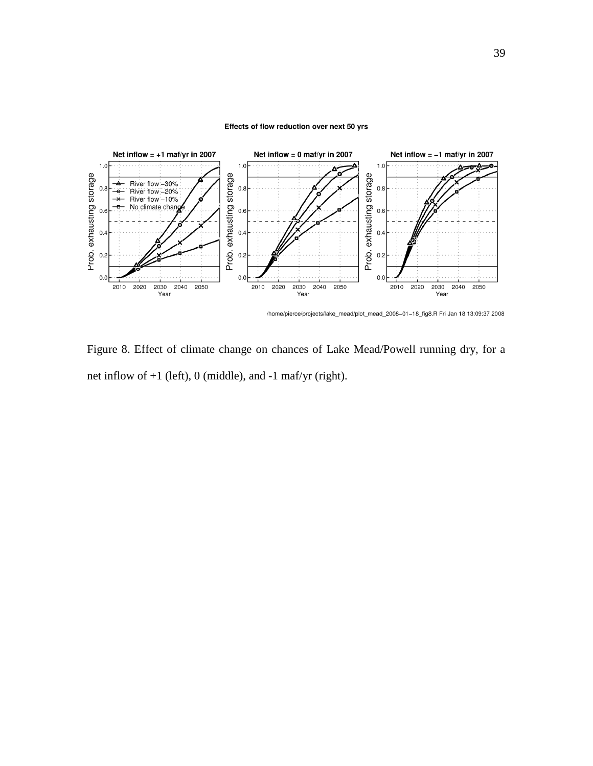#### Effects of flow reduction over next 50 yrs



/home/pierce/projects/lake\_mead/plot\_mead\_2008-01-18\_fig8.R Fri Jan 18 13:09:37 2008

Figure 8. Effect of climate change on chances of Lake Mead/Powell running dry, for a net inflow of +1 (left), 0 (middle), and -1 maf/yr (right).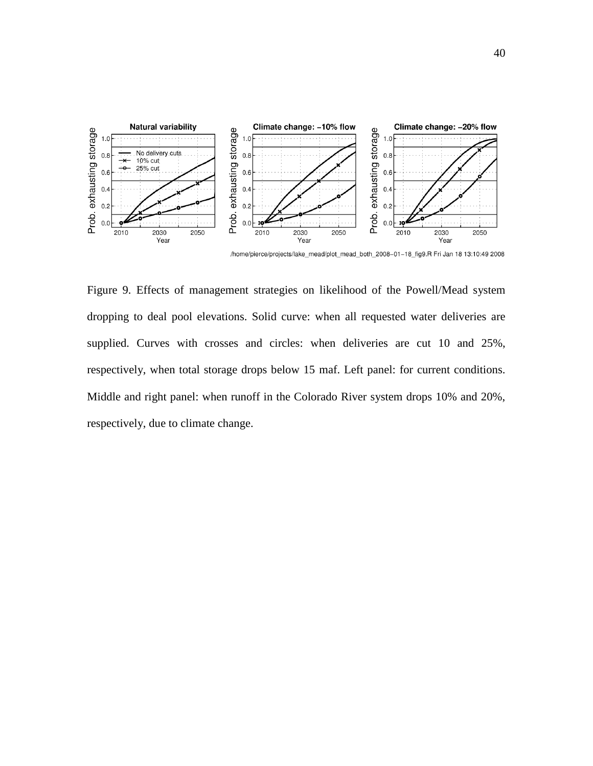

/home/pierce/projects/lake\_mead/plot\_mead\_both\_2008-01-18\_fig9.R Fri Jan 18 13:10:49 2008

Figure 9. Effects of management strategies on likelihood of the Powell/Mead system dropping to deal pool elevations. Solid curve: when all requested water deliveries are supplied. Curves with crosses and circles: when deliveries are cut 10 and 25%, respectively, when total storage drops below 15 maf. Left panel: for current conditions. Middle and right panel: when runoff in the Colorado River system drops 10% and 20%, respectively, due to climate change.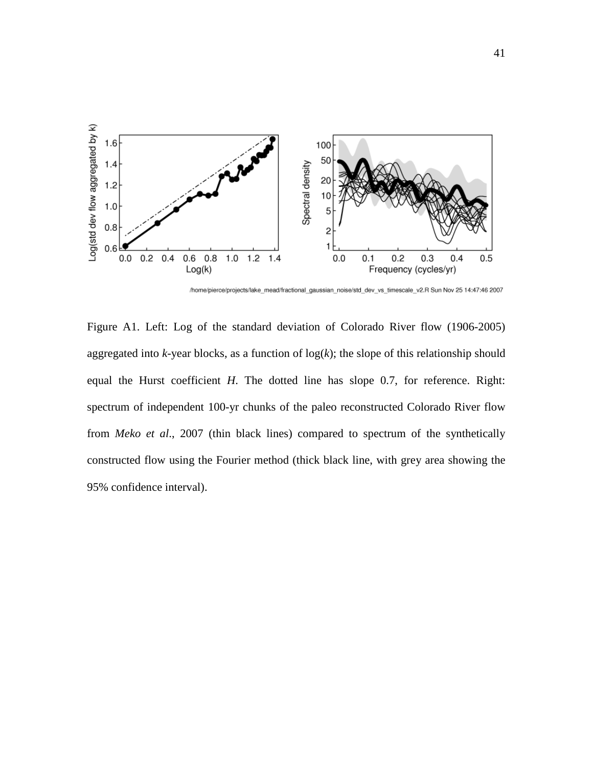

/home/pierce/projects/lake\_mead/fractional\_gaussian\_noise/std\_dev\_vs\_timescale\_v2.R Sun Nov 25 14:47:46 2007

Figure A1. Left: Log of the standard deviation of Colorado River flow (1906-2005) aggregated into  $k$ -year blocks, as a function of  $log(k)$ ; the slope of this relationship should equal the Hurst coefficient *H*. The dotted line has slope 0.7, for reference. Right: spectrum of independent 100-yr chunks of the paleo reconstructed Colorado River flow from *Meko et al*., 2007 (thin black lines) compared to spectrum of the synthetically constructed flow using the Fourier method (thick black line, with grey area showing the 95% confidence interval).